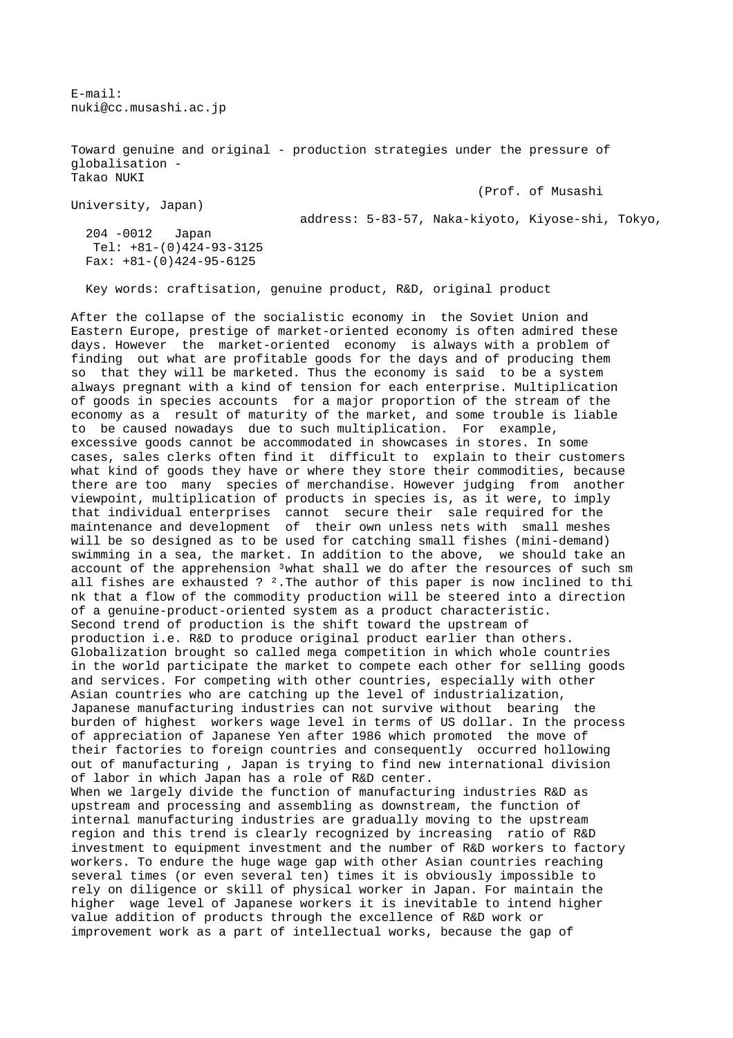E-mail: nuki@cc.musashi.ac.jp

Toward genuine and original - production strategies under the pressure of globalisation - Takao NUKI

(Prof. of Musashi

University, Japan)

address: 5-83-57, Naka-kiyoto, Kiyose-shi, Tokyo,

 204 -0012 Japan Tel: +81-(0)424-93-3125 Fax: +81-(0)424-95-6125

Key words: craftisation, genuine product, R&D, original product

After the collapse of the socialistic economy in the Soviet Union and Eastern Europe, prestige of market-oriented economy is often admired these days. However the market-oriented economy is always with a problem of finding out what are profitable goods for the days and of producing them so that they will be marketed. Thus the economy is said to be a system always pregnant with a kind of tension for each enterprise. Multiplication of goods in species accounts for a major proportion of the stream of the economy as a result of maturity of the market, and some trouble is liable to be caused nowadays due to such multiplication. For example, excessive goods cannot be accommodated in showcases in stores. In some cases, sales clerks often find it difficult to explain to their customers what kind of goods they have or where they store their commodities, because there are too many species of merchandise. However judging from another viewpoint, multiplication of products in species is, as it were, to imply that individual enterprises cannot secure their sale required for the maintenance and development of their own unless nets with small meshes will be so designed as to be used for catching small fishes (mini-demand) swimming in a sea, the market. In addition to the above, we should take an account of the apprehension <sup>3</sup>what shall we do after the resources of such sm all fishes are exhausted ? ².The author of this paper is now inclined to thi nk that a flow of the commodity production will be steered into a direction of a genuine-product-oriented system as a product characteristic. Second trend of production is the shift toward the upstream of production i.e. R&D to produce original product earlier than others. Globalization brought so called mega competition in which whole countries in the world participate the market to compete each other for selling goods and services. For competing with other countries, especially with other Asian countries who are catching up the level of industrialization, Japanese manufacturing industries can not survive without bearing the burden of highest workers wage level in terms of US dollar. In the process of appreciation of Japanese Yen after 1986 which promoted the move of their factories to foreign countries and consequently occurred hollowing out of manufacturing , Japan is trying to find new international division of labor in which Japan has a role of R&D center. When we largely divide the function of manufacturing industries R&D as upstream and processing and assembling as downstream, the function of internal manufacturing industries are gradually moving to the upstream region and this trend is clearly recognized by increasing ratio of R&D investment to equipment investment and the number of R&D workers to factory workers. To endure the huge wage gap with other Asian countries reaching several times (or even several ten) times it is obviously impossible to rely on diligence or skill of physical worker in Japan. For maintain the higher wage level of Japanese workers it is inevitable to intend higher value addition of products through the excellence of R&D work or

improvement work as a part of intellectual works, because the gap of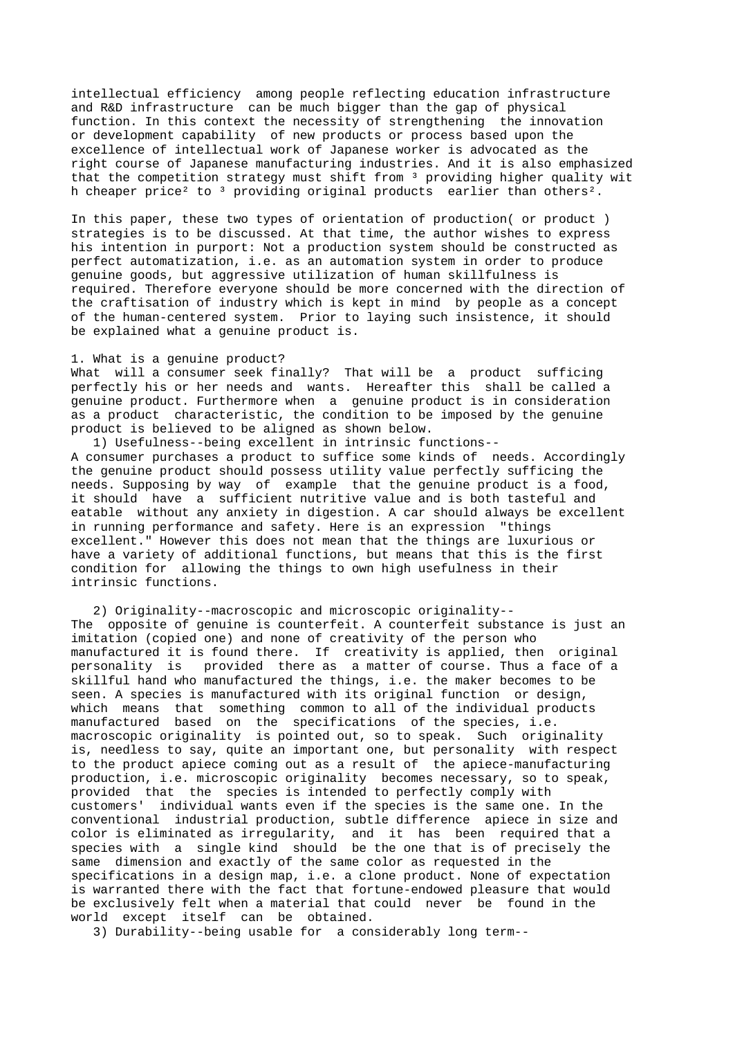intellectual efficiency among people reflecting education infrastructure and R&D infrastructure can be much bigger than the gap of physical function. In this context the necessity of strengthening the innovation or development capability of new products or process based upon the excellence of intellectual work of Japanese worker is advocated as the right course of Japanese manufacturing industries. And it is also emphasized that the competition strategy must shift from 3 providing higher quality wit h cheaper price<sup>2</sup> to <sup>3</sup> providing original products earlier than others<sup>2</sup>.

In this paper, these two types of orientation of production( or product ) strategies is to be discussed. At that time, the author wishes to express his intention in purport: Not a production system should be constructed as perfect automatization, i.e. as an automation system in order to produce genuine goods, but aggressive utilization of human skillfulness is required. Therefore everyone should be more concerned with the direction of the craftisation of industry which is kept in mind by people as a concept of the human-centered system. Prior to laying such insistence, it should be explained what a genuine product is.

## 1. What is a genuine product?

What will a consumer seek finally? That will be a product sufficing perfectly his or her needs and wants. Hereafter this shall be called a genuine product. Furthermore when a genuine product is in consideration as a product characteristic, the condition to be imposed by the genuine product is believed to be aligned as shown below.

 1) Usefulness--being excellent in intrinsic functions-- A consumer purchases a product to suffice some kinds of needs. Accordingly the genuine product should possess utility value perfectly sufficing the needs. Supposing by way of example that the genuine product is a food, it should have a sufficient nutritive value and is both tasteful and eatable without any anxiety in digestion. A car should always be excellent in running performance and safety. Here is an expression "things excellent." However this does not mean that the things are luxurious or have a variety of additional functions, but means that this is the first condition for allowing the things to own high usefulness in their intrinsic functions.

 2) Originality--macroscopic and microscopic originality-- The opposite of genuine is counterfeit. A counterfeit substance is just an imitation (copied one) and none of creativity of the person who manufactured it is found there. If creativity is applied, then original personality is provided there as a matter of course. Thus a face of a skillful hand who manufactured the things, i.e. the maker becomes to be seen. A species is manufactured with its original function or design, which means that something common to all of the individual products manufactured based on the specifications of the species, i.e. macroscopic originality is pointed out, so to speak. Such originality is, needless to say, quite an important one, but personality with respect to the product apiece coming out as a result of the apiece-manufacturing production, i.e. microscopic originality becomes necessary, so to speak, provided that the species is intended to perfectly comply with customers' individual wants even if the species is the same one. In the conventional industrial production, subtle difference apiece in size and color is eliminated as irregularity, and it has been required that a species with a single kind should be the one that is of precisely the same dimension and exactly of the same color as requested in the specifications in a design map, i.e. a clone product. None of expectation is warranted there with the fact that fortune-endowed pleasure that would be exclusively felt when a material that could never be found in the world except itself can be obtained.

3) Durability--being usable for a considerably long term--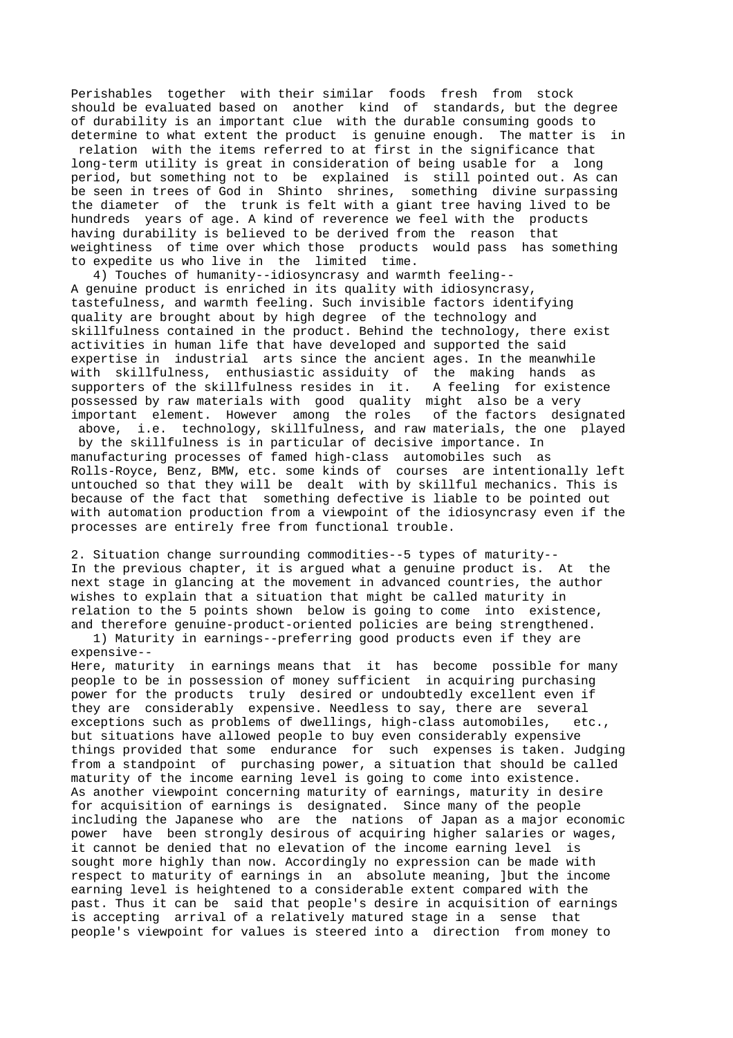Perishables together with their similar foods fresh from stock should be evaluated based on another kind of standards, but the degree of durability is an important clue with the durable consuming goods to determine to what extent the product is genuine enough. The matter is in relation with the items referred to at first in the significance that long-term utility is great in consideration of being usable for a long period, but something not to be explained is still pointed out. As can be seen in trees of God in Shinto shrines, something divine surpassing the diameter of the trunk is felt with a giant tree having lived to be hundreds years of age. A kind of reverence we feel with the products having durability is believed to be derived from the reason that weightiness of time over which those products would pass has something to expedite us who live in the limited time.

 4) Touches of humanity--idiosyncrasy and warmth feeling-- A genuine product is enriched in its quality with idiosyncrasy, tastefulness, and warmth feeling. Such invisible factors identifying quality are brought about by high degree of the technology and skillfulness contained in the product. Behind the technology, there exist activities in human life that have developed and supported the said expertise in industrial arts since the ancient ages. In the meanwhile with skillfulness, enthusiastic assiduity of the making hands as supporters of the skillfulness resides in it. A feeling for existence possessed by raw materials with good quality might also be a very important element. However among the roles of the factors designated above, i.e. technology, skillfulness, and raw materials, the one played

 by the skillfulness is in particular of decisive importance. In manufacturing processes of famed high-class automobiles such as Rolls-Royce, Benz, BMW, etc. some kinds of courses are intentionally left untouched so that they will be dealt with by skillful mechanics. This is because of the fact that something defective is liable to be pointed out with automation production from a viewpoint of the idiosyncrasy even if the processes are entirely free from functional trouble.

2. Situation change surrounding commodities--5 types of maturity-- In the previous chapter, it is argued what a genuine product is. At the next stage in glancing at the movement in advanced countries, the author

wishes to explain that a situation that might be called maturity in relation to the 5 points shown below is going to come into existence, and therefore genuine-product-oriented policies are being strengthened. 1) Maturity in earnings--preferring good products even if they are expensive--

Here, maturity in earnings means that it has become possible for many people to be in possession of money sufficient in acquiring purchasing power for the products truly desired or undoubtedly excellent even if they are considerably expensive. Needless to say, there are several exceptions such as problems of dwellings, high-class automobiles, etc., but situations have allowed people to buy even considerably expensive things provided that some endurance for such expenses is taken. Judging from a standpoint of purchasing power, a situation that should be called maturity of the income earning level is going to come into existence. As another viewpoint concerning maturity of earnings, maturity in desire for acquisition of earnings is designated. Since many of the people including the Japanese who are the nations of Japan as a major economic power have been strongly desirous of acquiring higher salaries or wages, it cannot be denied that no elevation of the income earning level is sought more highly than now. Accordingly no expression can be made with respect to maturity of earnings in an absolute meaning, ]but the income earning level is heightened to a considerable extent compared with the past. Thus it can be said that people's desire in acquisition of earnings is accepting arrival of a relatively matured stage in a sense that people's viewpoint for values is steered into a direction from money to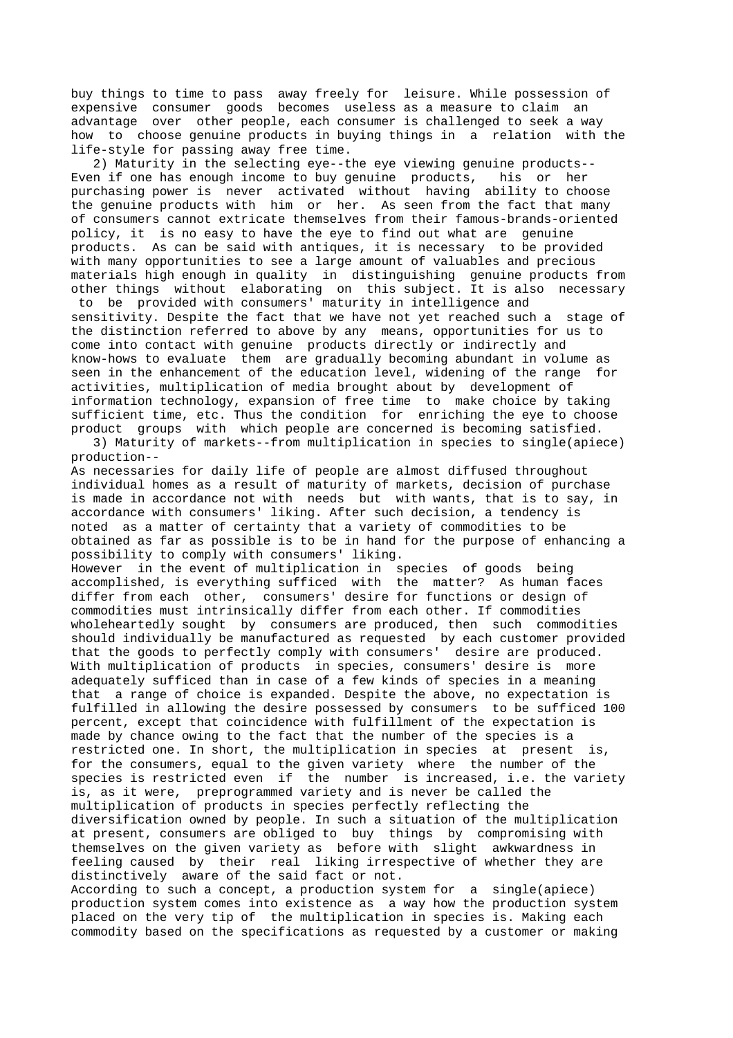distinctively aware of the said fact or not. According to such a concept, a production system for a single(apiece) production system comes into existence as a way how the production system placed on the very tip of the multiplication in species is. Making each commodity based on the specifications as requested by a customer or making

possibility to comply with consumers' liking. However in the event of multiplication in species of goods being accomplished, is everything sufficed with the matter? As human faces differ from each other, consumers' desire for functions or design of commodities must intrinsically differ from each other. If commodities wholeheartedly sought by consumers are produced, then such commodities should individually be manufactured as requested by each customer provided that the goods to perfectly comply with consumers' desire are produced. With multiplication of products in species, consumers' desire is more adequately sufficed than in case of a few kinds of species in a meaning that a range of choice is expanded. Despite the above, no expectation is fulfilled in allowing the desire possessed by consumers to be sufficed 100 percent, except that coincidence with fulfillment of the expectation is made by chance owing to the fact that the number of the species is a restricted one. In short, the multiplication in species at present is, for the consumers, equal to the given variety where the number of the species is restricted even if the number is increased, i.e. the variety is, as it were, preprogrammed variety and is never be called the multiplication of products in species perfectly reflecting the diversification owned by people. In such a situation of the multiplication at present, consumers are obliged to buy things by compromising with themselves on the given variety as before with slight awkwardness in feeling caused by their real liking irrespective of whether they are

production-- As necessaries for daily life of people are almost diffused throughout individual homes as a result of maturity of markets, decision of purchase is made in accordance not with needs but with wants, that is to say, in accordance with consumers' liking. After such decision, a tendency is noted as a matter of certainty that a variety of commodities to be obtained as far as possible is to be in hand for the purpose of enhancing a

other things without elaborating on this subject. It is also necessary to be provided with consumers' maturity in intelligence and sensitivity. Despite the fact that we have not yet reached such a stage of the distinction referred to above by any means, opportunities for us to come into contact with genuine products directly or indirectly and know-hows to evaluate them are gradually becoming abundant in volume as seen in the enhancement of the education level, widening of the range for activities, multiplication of media brought about by development of information technology, expansion of free time to make choice by taking sufficient time, etc. Thus the condition for enriching the eye to choose product groups with which people are concerned is becoming satisfied. 3) Maturity of markets--from multiplication in species to single(apiece)

 2) Maturity in the selecting eye--the eye viewing genuine products-- Even if one has enough income to buy genuine products, his or her purchasing power is never activated without having ability to choose the genuine products with him or her. As seen from the fact that many of consumers cannot extricate themselves from their famous-brands-oriented policy, it is no easy to have the eye to find out what are genuine products. As can be said with antiques, it is necessary to be provided with many opportunities to see a large amount of valuables and precious materials high enough in quality in distinguishing genuine products from

buy things to time to pass away freely for leisure. While possession of expensive consumer goods becomes useless as a measure to claim an advantage over other people, each consumer is challenged to seek a way how to choose genuine products in buying things in a relation with the life-style for passing away free time.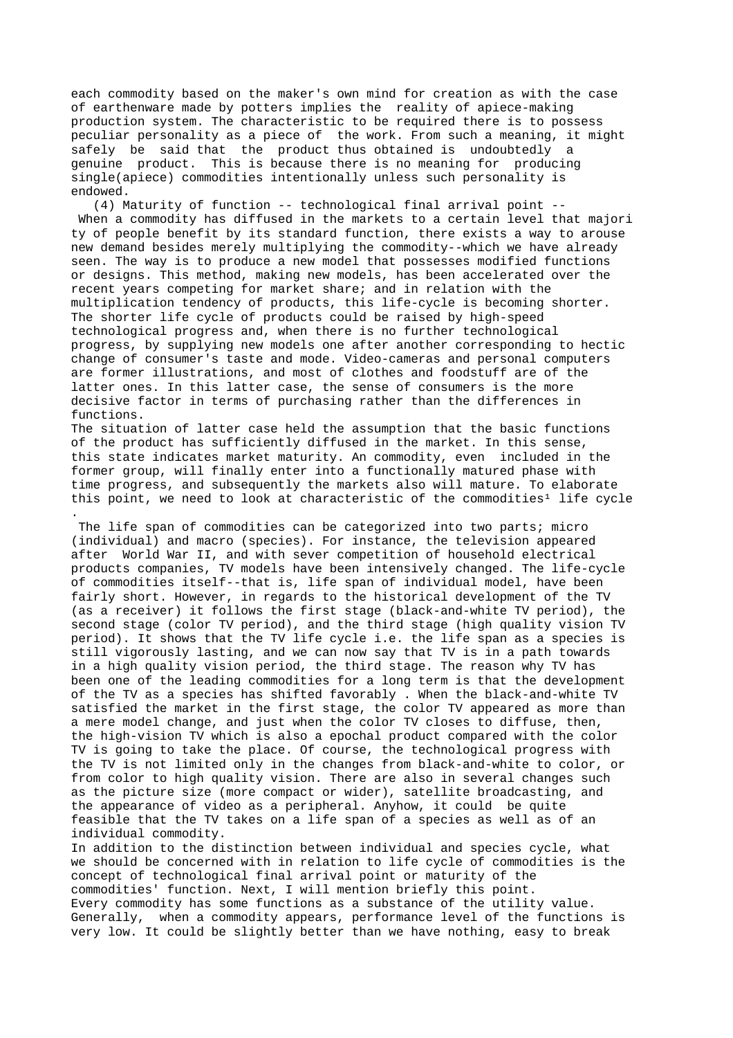each commodity based on the maker's own mind for creation as with the case of earthenware made by potters implies the reality of apiece-making production system. The characteristic to be required there is to possess peculiar personality as a piece of the work. From such a meaning, it might safely be said that the product thus obtained is undoubtedly a genuine product. This is because there is no meaning for producing single(apiece) commodities intentionally unless such personality is endowed.

 (4) Maturity of function -- technological final arrival point -- When a commodity has diffused in the markets to a certain level that majori ty of people benefit by its standard function, there exists a way to arouse new demand besides merely multiplying the commodity--which we have already seen. The way is to produce a new model that possesses modified functions or designs. This method, making new models, has been accelerated over the recent years competing for market share; and in relation with the multiplication tendency of products, this life-cycle is becoming shorter. The shorter life cycle of products could be raised by high-speed technological progress and, when there is no further technological progress, by supplying new models one after another corresponding to hectic change of consumer's taste and mode. Video-cameras and personal computers are former illustrations, and most of clothes and foodstuff are of the latter ones. In this latter case, the sense of consumers is the more decisive factor in terms of purchasing rather than the differences in functions.

The situation of latter case held the assumption that the basic functions of the product has sufficiently diffused in the market. In this sense, this state indicates market maturity. An commodity, even included in the former group, will finally enter into a functionally matured phase with time progress, and subsequently the markets also will mature. To elaborate this point, we need to look at characteristic of the commodities<sup>1</sup> life cycle

.

The life span of commodities can be categorized into two parts; micro (individual) and macro (species). For instance, the television appeared after World War II, and with sever competition of household electrical products companies, TV models have been intensively changed. The life-cycle of commodities itself--that is, life span of individual model, have been fairly short. However, in regards to the historical development of the TV (as a receiver) it follows the first stage (black-and-white TV period), the second stage (color TV period), and the third stage (high quality vision TV period). It shows that the TV life cycle i.e. the life span as a species is still vigorously lasting, and we can now say that TV is in a path towards in a high quality vision period, the third stage. The reason why TV has been one of the leading commodities for a long term is that the development of the TV as a species has shifted favorably . When the black-and-white TV satisfied the market in the first stage, the color TV appeared as more than a mere model change, and just when the color TV closes to diffuse, then, the high-vision TV which is also a epochal product compared with the color TV is going to take the place. Of course, the technological progress with the TV is not limited only in the changes from black-and-white to color, or from color to high quality vision. There are also in several changes such as the picture size (more compact or wider), satellite broadcasting, and the appearance of video as a peripheral. Anyhow, it could be quite feasible that the TV takes on a life span of a species as well as of an individual commodity.

In addition to the distinction between individual and species cycle, what we should be concerned with in relation to life cycle of commodities is the concept of technological final arrival point or maturity of the commodities' function. Next, I will mention briefly this point. Every commodity has some functions as a substance of the utility value. Generally, when a commodity appears, performance level of the functions is very low. It could be slightly better than we have nothing, easy to break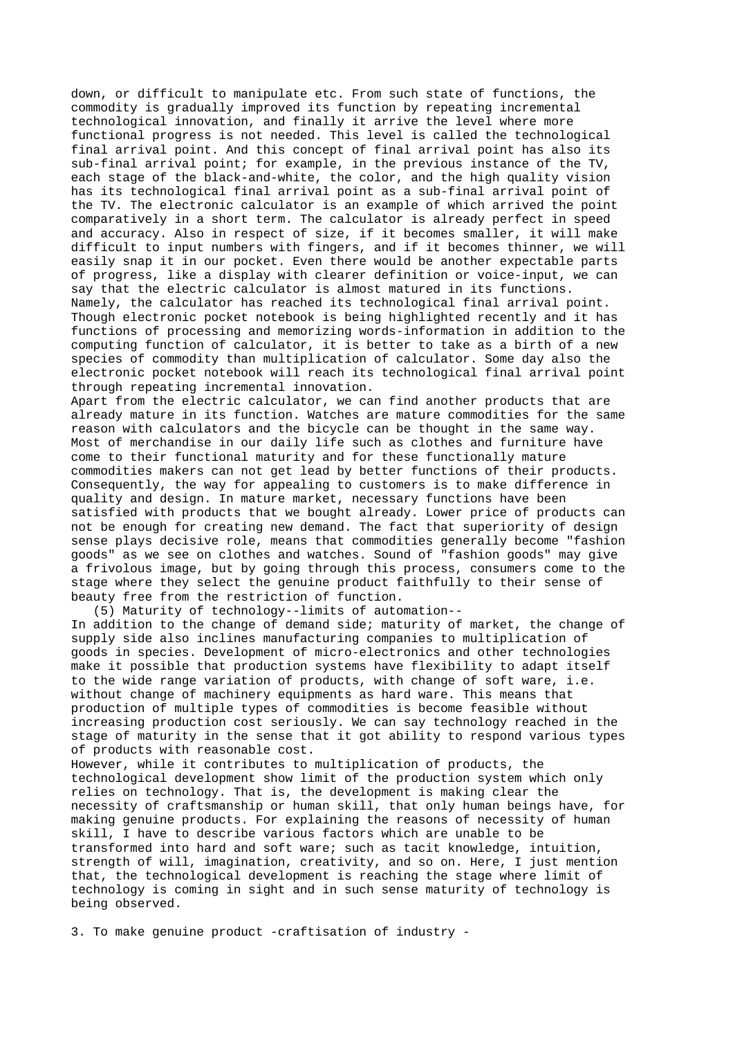down, or difficult to manipulate etc. From such state of functions, the commodity is gradually improved its function by repeating incremental technological innovation, and finally it arrive the level where more functional progress is not needed. This level is called the technological final arrival point. And this concept of final arrival point has also its sub-final arrival point; for example, in the previous instance of the TV, each stage of the black-and-white, the color, and the high quality vision has its technological final arrival point as a sub-final arrival point of the TV. The electronic calculator is an example of which arrived the point comparatively in a short term. The calculator is already perfect in speed and accuracy. Also in respect of size, if it becomes smaller, it will make difficult to input numbers with fingers, and if it becomes thinner, we will easily snap it in our pocket. Even there would be another expectable parts of progress, like a display with clearer definition or voice-input, we can say that the electric calculator is almost matured in its functions. Namely, the calculator has reached its technological final arrival point. Though electronic pocket notebook is being highlighted recently and it has functions of processing and memorizing words-information in addition to the computing function of calculator, it is better to take as a birth of a new species of commodity than multiplication of calculator. Some day also the electronic pocket notebook will reach its technological final arrival point through repeating incremental innovation.

Apart from the electric calculator, we can find another products that are already mature in its function. Watches are mature commodities for the same reason with calculators and the bicycle can be thought in the same way. Most of merchandise in our daily life such as clothes and furniture have come to their functional maturity and for these functionally mature commodities makers can not get lead by better functions of their products. Consequently, the way for appealing to customers is to make difference in quality and design. In mature market, necessary functions have been satisfied with products that we bought already. Lower price of products can not be enough for creating new demand. The fact that superiority of design sense plays decisive role, means that commodities generally become "fashion goods" as we see on clothes and watches. Sound of "fashion goods" may give a frivolous image, but by going through this process, consumers come to the stage where they select the genuine product faithfully to their sense of beauty free from the restriction of function.

(5) Maturity of technology--limits of automation--

In addition to the change of demand side; maturity of market, the change of supply side also inclines manufacturing companies to multiplication of goods in species. Development of micro-electronics and other technologies make it possible that production systems have flexibility to adapt itself to the wide range variation of products, with change of soft ware, i.e. without change of machinery equipments as hard ware. This means that production of multiple types of commodities is become feasible without increasing production cost seriously. We can say technology reached in the stage of maturity in the sense that it got ability to respond various types of products with reasonable cost.

However, while it contributes to multiplication of products, the technological development show limit of the production system which only relies on technology. That is, the development is making clear the necessity of craftsmanship or human skill, that only human beings have, for making genuine products. For explaining the reasons of necessity of human skill, I have to describe various factors which are unable to be transformed into hard and soft ware; such as tacit knowledge, intuition, strength of will, imagination, creativity, and so on. Here, I just mention that, the technological development is reaching the stage where limit of technology is coming in sight and in such sense maturity of technology is being observed.

3. To make genuine product -craftisation of industry -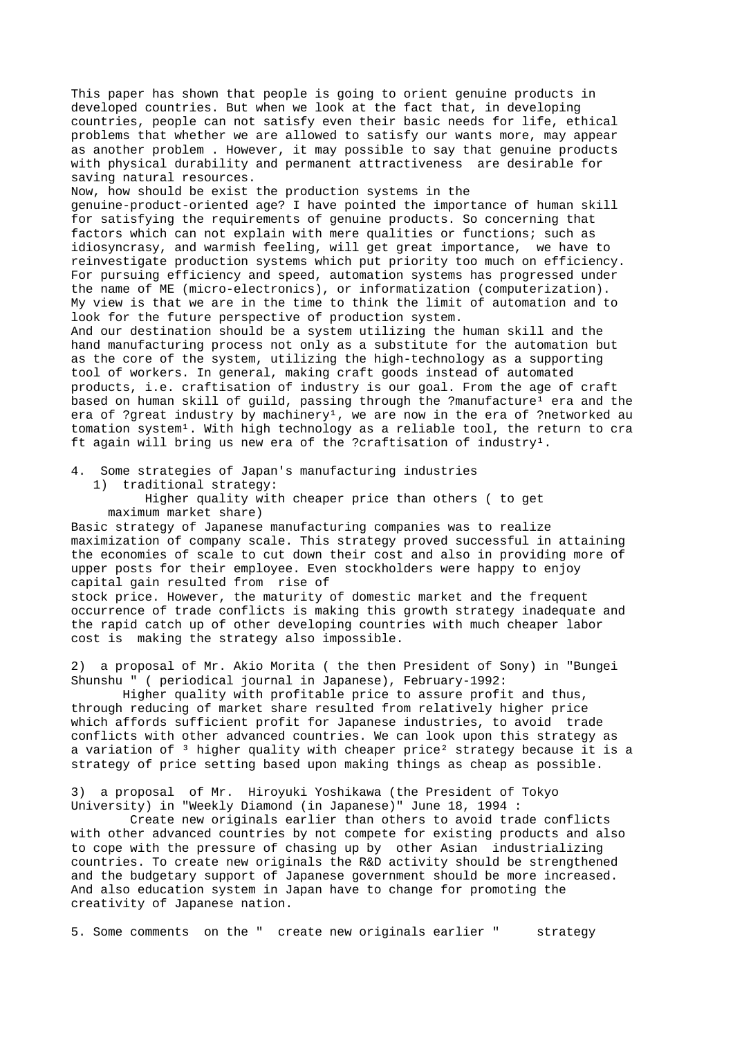This paper has shown that people is going to orient genuine products in developed countries. But when we look at the fact that, in developing countries, people can not satisfy even their basic needs for life, ethical problems that whether we are allowed to satisfy our wants more, may appear as another problem . However, it may possible to say that genuine products with physical durability and permanent attractiveness are desirable for saving natural resources.

Now, how should be exist the production systems in the genuine-product-oriented age? I have pointed the importance of human skill for satisfying the requirements of genuine products. So concerning that factors which can not explain with mere qualities or functions; such as idiosyncrasy, and warmish feeling, will get great importance, we have to reinvestigate production systems which put priority too much on efficiency. For pursuing efficiency and speed, automation systems has progressed under the name of ME (micro-electronics), or informatization (computerization). My view is that we are in the time to think the limit of automation and to look for the future perspective of production system.

And our destination should be a system utilizing the human skill and the hand manufacturing process not only as a substitute for the automation but as the core of the system, utilizing the high-technology as a supporting tool of workers. In general, making craft goods instead of automated products, i.e. craftisation of industry is our goal. From the age of craft based on human skill of guild, passing through the ?manufacture<sup>1</sup> era and the era of ?great industry by machinery<sup>1</sup>, we are now in the era of ?networked au tomation system<sup>1</sup>. With high technology as a reliable tool, the return to cra ft again will bring us new era of the ?craftisation of industry<sup>1</sup>.

4. Some strategies of Japan's manufacturing industries

1) traditional strategy:

 Higher quality with cheaper price than others ( to get maximum market share)

Basic strategy of Japanese manufacturing companies was to realize maximization of company scale. This strategy proved successful in attaining the economies of scale to cut down their cost and also in providing more of upper posts for their employee. Even stockholders were happy to enjoy capital gain resulted from rise of

stock price. However, the maturity of domestic market and the frequent occurrence of trade conflicts is making this growth strategy inadequate and the rapid catch up of other developing countries with much cheaper labor cost is making the strategy also impossible.

2) a proposal of Mr. Akio Morita ( the then President of Sony) in "Bungei Shunshu " ( periodical journal in Japanese), February-1992:

 Higher quality with profitable price to assure profit and thus, through reducing of market share resulted from relatively higher price which affords sufficient profit for Japanese industries, to avoid trade conflicts with other advanced countries. We can look upon this strategy as a variation of  $3$  higher quality with cheaper price<sup>2</sup> strategy because it is a strategy of price setting based upon making things as cheap as possible.

3) a proposal of Mr. Hiroyuki Yoshikawa (the President of Tokyo University) in "Weekly Diamond (in Japanese)" June 18, 1994 :

 Create new originals earlier than others to avoid trade conflicts with other advanced countries by not compete for existing products and also to cope with the pressure of chasing up by other Asian industrializing countries. To create new originals the R&D activity should be strengthened and the budgetary support of Japanese government should be more increased. And also education system in Japan have to change for promoting the creativity of Japanese nation.

5. Some comments on the " create new originals earlier " strategy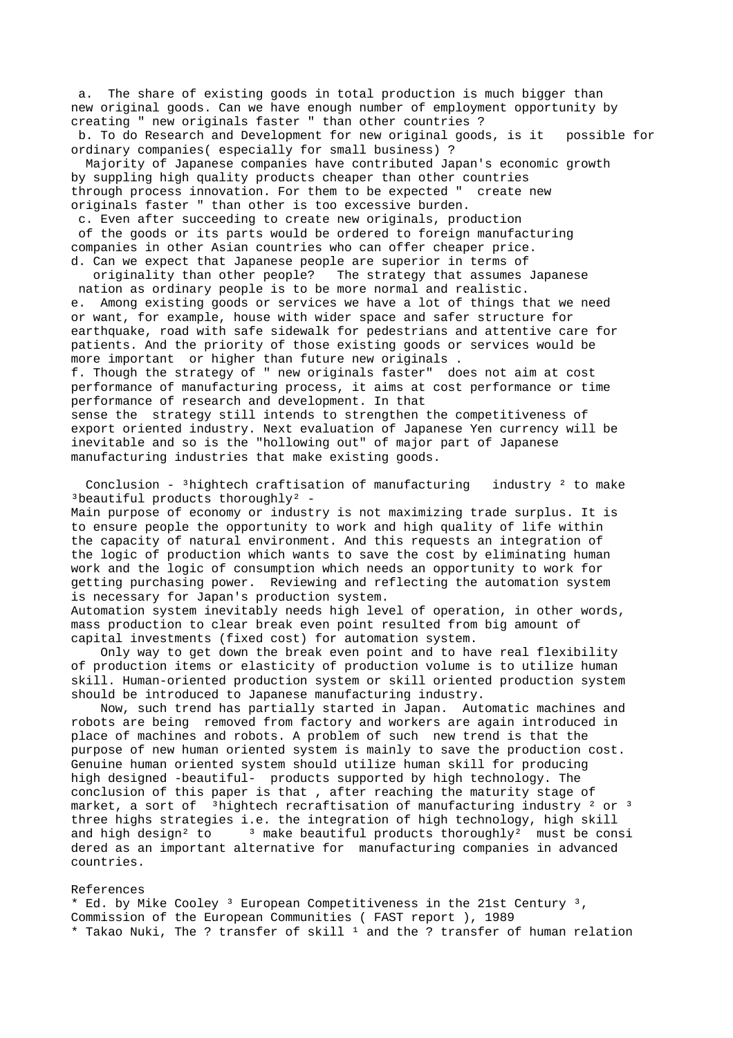a. The share of existing goods in total production is much bigger than new original goods. Can we have enough number of employment opportunity by creating " new originals faster " than other countries ? b. To do Research and Development for new original goods, is it possible for

ordinary companies( especially for small business) ?

 Majority of Japanese companies have contributed Japan's economic growth by suppling high quality products cheaper than other countries through process innovation. For them to be expected " create new originals faster " than other is too excessive burden.

 c. Even after succeeding to create new originals, production of the goods or its parts would be ordered to foreign manufacturing companies in other Asian countries who can offer cheaper price. d. Can we expect that Japanese people are superior in terms of

 originality than other people? The strategy that assumes Japanese nation as ordinary people is to be more normal and realistic. e. Among existing goods or services we have a lot of things that we need or want, for example, house with wider space and safer structure for earthquake, road with safe sidewalk for pedestrians and attentive care for patients. And the priority of those existing goods or services would be more important or higher than future new originals . f. Though the strategy of " new originals faster" does not aim at cost performance of manufacturing process, it aims at cost performance or time performance of research and development. In that sense the strategy still intends to strengthen the competitiveness of export oriented industry. Next evaluation of Japanese Yen currency will be inevitable and so is the "hollowing out" of major part of Japanese manufacturing industries that make existing goods.

Conclusion - <sup>3</sup>hightech craftisation of manufacturing industry <sup>2</sup> to make <sup>3</sup>beautiful products thoroughly<sup>2</sup> -

Main purpose of economy or industry is not maximizing trade surplus. It is to ensure people the opportunity to work and high quality of life within the capacity of natural environment. And this requests an integration of the logic of production which wants to save the cost by eliminating human work and the logic of consumption which needs an opportunity to work for getting purchasing power. Reviewing and reflecting the automation system is necessary for Japan's production system.

Automation system inevitably needs high level of operation, in other words, mass production to clear break even point resulted from big amount of capital investments (fixed cost) for automation system.

 Only way to get down the break even point and to have real flexibility of production items or elasticity of production volume is to utilize human skill. Human-oriented production system or skill oriented production system should be introduced to Japanese manufacturing industry.

 Now, such trend has partially started in Japan. Automatic machines and robots are being removed from factory and workers are again introduced in place of machines and robots. A problem of such new trend is that the purpose of new human oriented system is mainly to save the production cost. Genuine human oriented system should utilize human skill for producing high designed -beautiful- products supported by high technology. The conclusion of this paper is that , after reaching the maturity stage of market, a sort of  $3$ hightech recraftisation of manufacturing industry  $2$  or  $3$ three highs strategies i.e. the integration of high technology, high skill and high design<sup>2</sup> to  $\frac{3}{1}$  make beautiful products thoroughly<sup>2</sup> must be consi dered as an important alternative for manufacturing companies in advanced countries.

## References

\* Ed. by Mike Cooley ³ European Competitiveness in the 21st Century ³, Commission of the European Communities ( FAST report ), 1989 \* Takao Nuki, The ? transfer of skill <sup>1</sup> and the ? transfer of human relation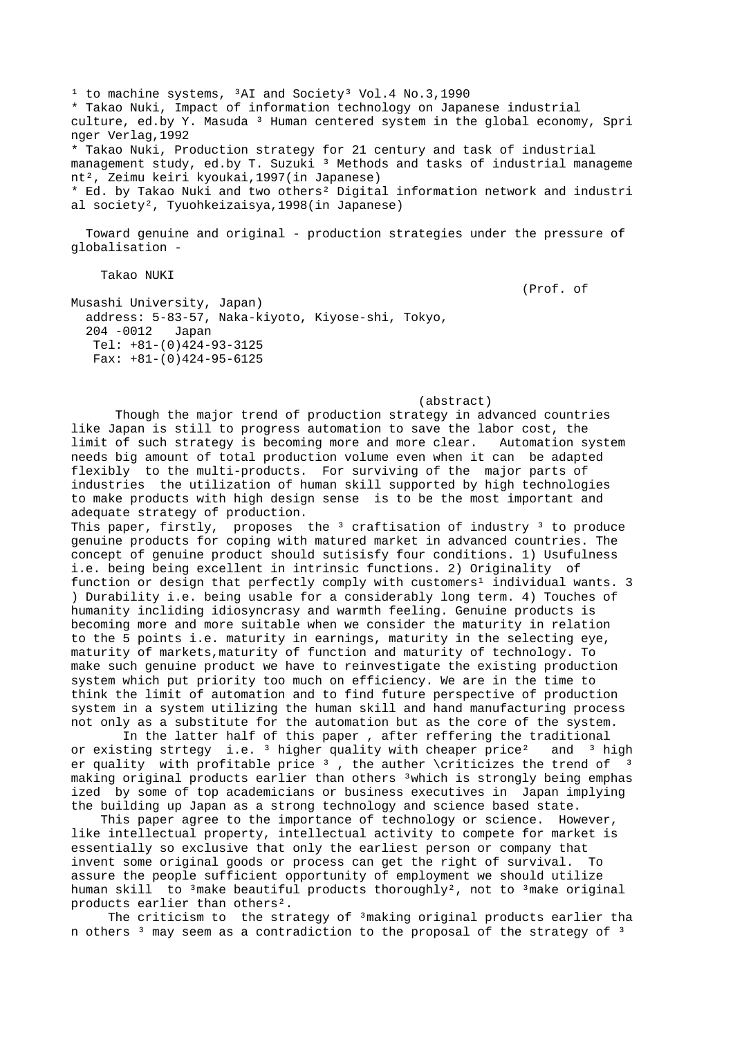<sup>1</sup> to machine systems, <sup>3</sup>AI and Society<sup>3</sup> Vol.4 No.3,1990 \* Takao Nuki, Impact of information technology on Japanese industrial culture, ed.by Y. Masuda <sup>3</sup> Human centered system in the global economy, Spri nger Verlag,1992 \* Takao Nuki, Production strategy for 21 century and task of industrial management study, ed.by T. Suzuki<sup>3</sup> Methods and tasks of industrial manageme nt², Zeimu keiri kyoukai,1997(in Japanese) \* Ed. by Takao Nuki and two others² Digital information network and industri al society², Tyuohkeizaisya,1998(in Japanese)

 Toward genuine and original - production strategies under the pressure of globalisation -

Takao NUKI

(Prof. of

Musashi University, Japan) address: 5-83-57, Naka-kiyoto, Kiyose-shi, Tokyo, 204 -0012 Japan Tel: +81-(0)424-93-3125 Fax: +81-(0)424-95-6125

## (abstract)

 Though the major trend of production strategy in advanced countries like Japan is still to progress automation to save the labor cost, the limit of such strategy is becoming more and more clear. Automation system needs big amount of total production volume even when it can be adapted flexibly to the multi-products. For surviving of the major parts of industries the utilization of human skill supported by high technologies to make products with high design sense is to be the most important and adequate strategy of production.

This paper, firstly, proposes the  $3$  craftisation of industry  $3$  to produce genuine products for coping with matured market in advanced countries. The concept of genuine product should sutisisfy four conditions. 1) Usufulness i.e. being being excellent in intrinsic functions. 2) Originality of function or design that perfectly comply with customers<sup>1</sup> individual wants. 3 ) Durability i.e. being usable for a considerably long term. 4) Touches of humanity incliding idiosyncrasy and warmth feeling. Genuine products is becoming more and more suitable when we consider the maturity in relation to the 5 points i.e. maturity in earnings, maturity in the selecting eye, maturity of markets,maturity of function and maturity of technology. To make such genuine product we have to reinvestigate the existing production system which put priority too much on efficiency. We are in the time to think the limit of automation and to find future perspective of production system in a system utilizing the human skill and hand manufacturing process not only as a substitute for the automation but as the core of the system.

 In the latter half of this paper , after reffering the traditional or existing strtegy i.e.  $3$  higher quality with cheaper price<sup>2</sup> and  $3$  high er quality with profitable price  $3$ , the auther \criticizes the trend of making original products earlier than others ³which is strongly being emphas ized by some of top academicians or business executives in Japan implying the building up Japan as a strong technology and science based state.

 This paper agree to the importance of technology or science. However, like intellectual property, intellectual activity to compete for market is essentially so exclusive that only the earliest person or company that invent some original goods or process can get the right of survival. To assure the people sufficient opportunity of employment we should utilize human skill to  $3$ make beautiful products thoroughly<sup>2</sup>, not to  $3$ make original products earlier than others².

The criticism to the strategy of <sup>3</sup>making original products earlier tha n others<sup>3</sup> may seem as a contradiction to the proposal of the strategy of<sup>3</sup>